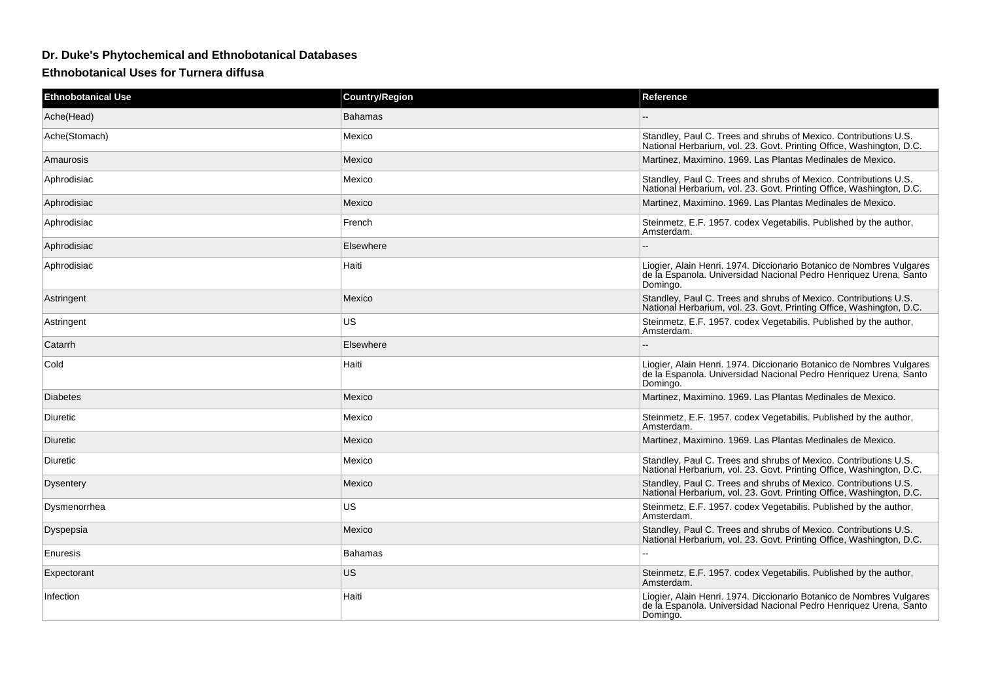## **Dr. Duke's Phytochemical and Ethnobotanical Databases**

## **Ethnobotanical Uses for Turnera diffusa**

| <b>Ethnobotanical Use</b> | <b>Country/Region</b> | Reference                                                                                                                                             |
|---------------------------|-----------------------|-------------------------------------------------------------------------------------------------------------------------------------------------------|
| Ache(Head)                | <b>Bahamas</b>        |                                                                                                                                                       |
| Ache(Stomach)             | Mexico                | Standley, Paul C. Trees and shrubs of Mexico. Contributions U.S.<br>National Herbarium, vol. 23. Govt. Printing Office, Washington, D.C.              |
| Amaurosis                 | Mexico                | Martinez, Maximino. 1969. Las Plantas Medinales de Mexico.                                                                                            |
| Aphrodisiac               | Mexico                | Standley, Paul C. Trees and shrubs of Mexico. Contributions U.S.<br>National Herbarium, vol. 23. Govt. Printing Office, Washington, D.C.              |
| Aphrodisiac               | Mexico                | Martinez, Maximino. 1969. Las Plantas Medinales de Mexico.                                                                                            |
| Aphrodisiac               | French                | Steinmetz, E.F. 1957. codex Vegetabilis. Published by the author,<br>Amsterdam.                                                                       |
| Aphrodisiac               | Elsewhere             |                                                                                                                                                       |
| Aphrodisiac               | Haiti                 | Liogier, Alain Henri. 1974. Diccionario Botanico de Nombres Vulgares<br>de la Espanola. Universidad Nacional Pedro Henriquez Urena, Santo<br>Domingo. |
| Astringent                | Mexico                | Standley, Paul C. Trees and shrubs of Mexico. Contributions U.S.<br>National Herbarium, vol. 23. Govt. Printing Office, Washington, D.C.              |
| Astringent                | US                    | Steinmetz, E.F. 1957. codex Vegetabilis. Published by the author,<br>Amsterdam.                                                                       |
| Catarrh                   | Elsewhere             |                                                                                                                                                       |
| Cold                      | Haiti                 | Liogier, Alain Henri. 1974. Diccionario Botanico de Nombres Vulgares<br>de la Espanola. Universidad Nacional Pedro Henriquez Urena, Santo<br>Domingo. |
| <b>Diabetes</b>           | Mexico                | Martinez, Maximino. 1969. Las Plantas Medinales de Mexico.                                                                                            |
| Diuretic                  | Mexico                | Steinmetz, E.F. 1957. codex Vegetabilis. Published by the author,<br>Amsterdam.                                                                       |
| <b>Diuretic</b>           | Mexico                | Martinez, Maximino. 1969. Las Plantas Medinales de Mexico.                                                                                            |
| Diuretic                  | Mexico                | Standley, Paul C. Trees and shrubs of Mexico. Contributions U.S.<br>National Herbarium, vol. 23. Govt. Printing Office, Washington, D.C.              |
| <b>Dysentery</b>          | Mexico                | Standley, Paul C. Trees and shrubs of Mexico. Contributions U.S.<br>National Herbarium, vol. 23. Govt. Printing Office, Washington, D.C.              |
| Dysmenorrhea              | US                    | Steinmetz, E.F. 1957. codex Vegetabilis. Published by the author,<br>Amsterdam.                                                                       |
| <b>Dyspepsia</b>          | Mexico                | Standley, Paul C. Trees and shrubs of Mexico. Contributions U.S.<br>National Herbarium, vol. 23. Govt. Printing Office, Washington, D.C.              |
| Enuresis                  | Bahamas               |                                                                                                                                                       |
| Expectorant               | US                    | Steinmetz, E.F. 1957. codex Vegetabilis. Published by the author,<br>Amsterdam.                                                                       |
| Infection                 | Haiti                 | Liogier, Alain Henri. 1974. Diccionario Botanico de Nombres Vulgares<br>de la Espanola. Universidad Nacional Pedro Henriquez Urena, Santo<br>Domingo. |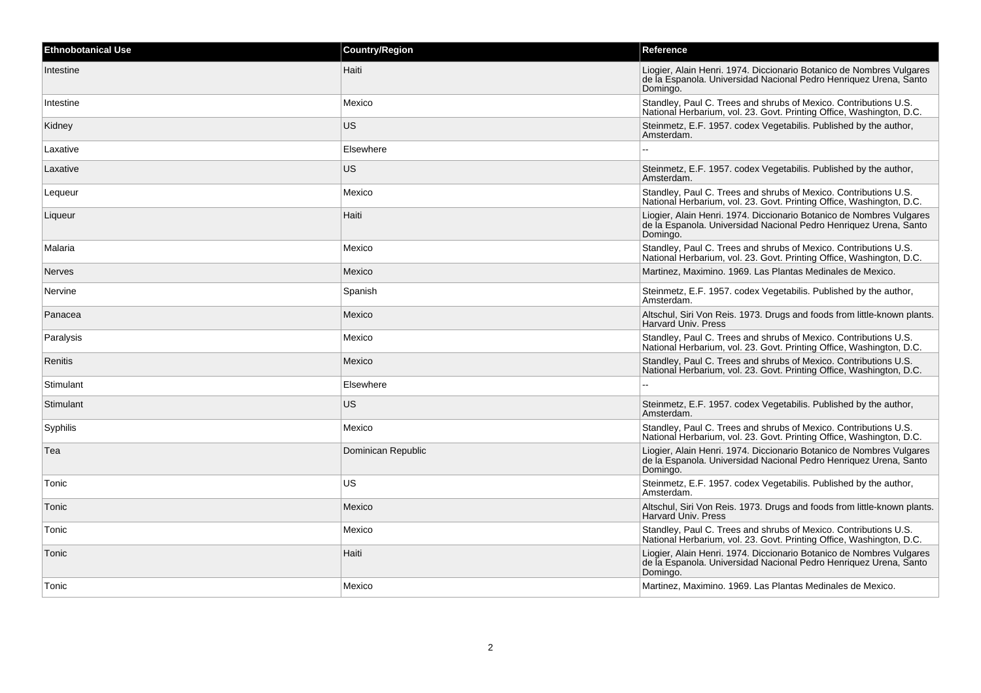| <b>Ethnobotanical Use</b> | <b>Country/Region</b> | Reference                                                                                                                                             |
|---------------------------|-----------------------|-------------------------------------------------------------------------------------------------------------------------------------------------------|
| <b>Intestine</b>          | Haiti                 | Liogier, Alain Henri. 1974. Diccionario Botanico de Nombres Vulgares<br>de la Espanola. Universidad Nacional Pedro Henriquez Urena, Santo<br>Domingo. |
| Intestine                 | Mexico                | Standley, Paul C. Trees and shrubs of Mexico. Contributions U.S.<br>National Herbarium, vol. 23. Govt. Printing Office, Washington, D.C.              |
| Kidney                    | US                    | Steinmetz, E.F. 1957. codex Vegetabilis. Published by the author,<br>Amsterdam.                                                                       |
| Laxative                  | Elsewhere             |                                                                                                                                                       |
| Laxative                  | <b>US</b>             | Steinmetz, E.F. 1957. codex Vegetabilis. Published by the author,<br>Amsterdam.                                                                       |
| Lequeur                   | Mexico                | Standley, Paul C. Trees and shrubs of Mexico. Contributions U.S.<br>National Herbarium, vol. 23. Govt. Printing Office, Washington, D.C.              |
| Liqueur                   | Haiti                 | Liogier, Alain Henri. 1974. Diccionario Botanico de Nombres Vulgares<br>de la Espanola. Universidad Nacional Pedro Henriquez Urena, Santo<br>Domingo. |
| Malaria                   | Mexico                | Standley, Paul C. Trees and shrubs of Mexico. Contributions U.S.<br>National Herbarium, vol. 23. Govt. Printing Office, Washington, D.C.              |
| <b>Nerves</b>             | Mexico                | Martinez, Maximino. 1969. Las Plantas Medinales de Mexico.                                                                                            |
| Nervine                   | Spanish               | Steinmetz, E.F. 1957. codex Vegetabilis. Published by the author,<br>Amsterdam.                                                                       |
| Panacea                   | Mexico                | Altschul, Siri Von Reis. 1973. Drugs and foods from little-known plants.<br><b>Harvard Univ. Press</b>                                                |
| Paralysis                 | Mexico                | Standley, Paul C. Trees and shrubs of Mexico. Contributions U.S.<br>National Herbarium, vol. 23. Govt. Printing Office, Washington, D.C.              |
| Renitis                   | Mexico                | Standley, Paul C. Trees and shrubs of Mexico. Contributions U.S.<br>National Herbarium, vol. 23. Govt. Printing Office, Washington, D.C.              |
| Stimulant                 | Elsewhere             | $\sim$                                                                                                                                                |
| Stimulant                 | US                    | Steinmetz, E.F. 1957. codex Vegetabilis. Published by the author,<br>Amsterdam.                                                                       |
| Syphilis                  | Mexico                | Standley, Paul C. Trees and shrubs of Mexico. Contributions U.S.<br>National Herbarium, vol. 23. Govt. Printing Office, Washington, D.C.              |
| Tea                       | Dominican Republic    | Liogier, Alain Henri. 1974. Diccionario Botanico de Nombres Vulgares<br>de la Espanola. Universidad Nacional Pedro Henriquez Urena, Santo<br>Domingo. |
| Tonic                     | US                    | Steinmetz, E.F. 1957. codex Vegetabilis. Published by the author,<br>Amsterdam.                                                                       |
| Tonic                     | Mexico                | Altschul, Siri Von Reis. 1973. Drugs and foods from little-known plants.<br><b>Harvard Univ. Press</b>                                                |
| Tonic                     | Mexico                | Standley, Paul C. Trees and shrubs of Mexico. Contributions U.S.<br>National Herbarium, vol. 23. Govt. Printing Office, Washington, D.C.              |
| Tonic                     | Haiti                 | Liogier, Alain Henri. 1974. Diccionario Botanico de Nombres Vulgares<br>de la Espanola. Universidad Nacional Pedro Henriquez Urena, Santo<br>Domingo. |
| Tonic                     | Mexico                | Martinez, Maximino. 1969. Las Plantas Medinales de Mexico.                                                                                            |